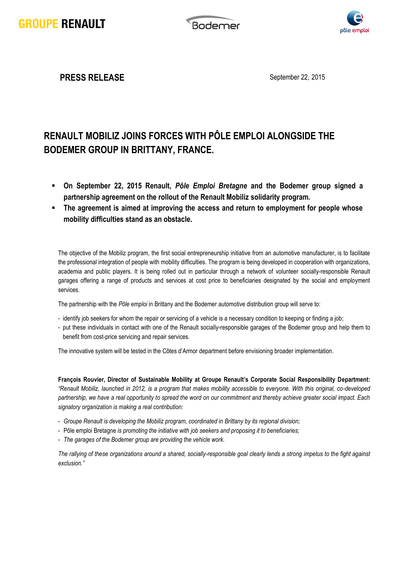**Bodemer** 



**PRESS RELEASE** September 22, 2015

## **RENAULT MOBILIZ JOINS FORCES WITH PÔLE EMPLOI ALONGSIDE THE BODEMER GROUP IN BRITTANY, FRANCE.**

- **On September 22, 2015 Renault,** *Pôle Emploi Bretagne* **and the Bodemer group signed a partnership agreement on the rollout of the Renault Mobiliz solidarity program.**
- **The agreement is aimed at improving the access and return to employment for people whose mobility difficulties stand as an obstacle.**

The objective of the Mobiliz program, the first social entrepreneurship initiative from an automotive manufacturer, is to facilitate the professional integration of people with mobility difficulties. The program is being developed in cooperation with organizations, academia and public players. It is being rolled out in particular through a network of volunteer socially-responsible Renault garages offering a range of products and services at cost price to beneficiaries designated by the social and employment services.

The partnership with the *Pôle emploi* in Brittany and the Bodemer automotive distribution group will serve to:

- identify job seekers for whom the repair or servicing of a vehicle is a necessary condition to keeping or finding a job;
- put these individuals in contact with one of the Renault socially-responsible garages of the Bodemer group and help them to benefit from cost-price servicing and repair services.

The innovative system will be tested in the Côtes d'Armor department before envisioning broader implementation.

**François Rouvier, Director of Sustainable Mobility at Groupe Renault's Corporate Social Responsibility Department:** *"Renault Mobiliz, launched in 2012, is a program that makes mobility accessible to everyone. With this original, co-developed partnership, we have a real opportunity to spread the word on our commitment and thereby achieve greater social impact. Each signatory organization is making a real contribution:*

- *Groupe Renault is developing the Mobiliz program, coordinated in Brittany by its regional division;*
- Pôle emploi Bretagne *is promoting the initiative with job seekers and proposing it to beneficiaries;*
- *The garages of the Bodemer group are providing the vehicle work.*

*The rallying of these organizations around a shared, socially-responsible goal clearly lends a strong impetus to the fight against exclusion."*